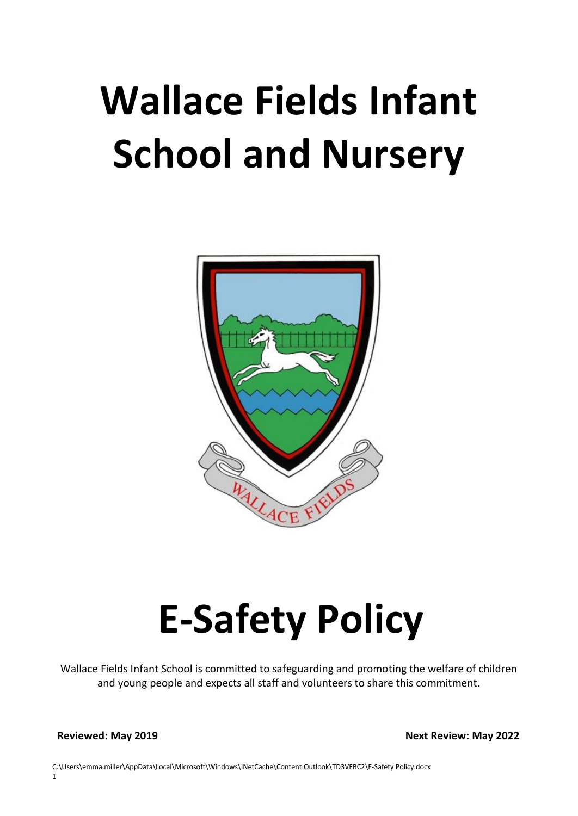# **Wallace Fields Infant School and Nursery**



# **E-Safety Policy**

Wallace Fields Infant School is committed to safeguarding and promoting the welfare of children and young people and expects all staff and volunteers to share this commitment.

**Reviewed: May 2019** Next Review: May 2022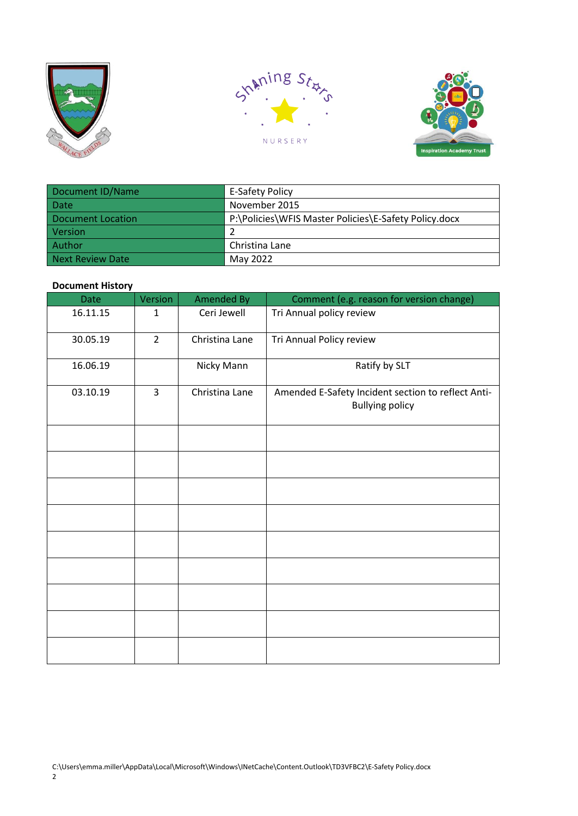





| Document ID/Name  | <b>E-Safety Policy</b>                                |  |  |
|-------------------|-------------------------------------------------------|--|--|
| Date              | November 2015                                         |  |  |
| Document Location | P:\Policies\WFIS Master Policies\E-Safety Policy.docx |  |  |
| <b>Version</b>    |                                                       |  |  |
| Author            | Christina Lane                                        |  |  |
| Next Review Date  | May 2022                                              |  |  |

## **Document History**

| Date     | Version        | Amended By     | Comment (e.g. reason for version change)                                     |
|----------|----------------|----------------|------------------------------------------------------------------------------|
| 16.11.15 | $\mathbf{1}$   | Ceri Jewell    | Tri Annual policy review                                                     |
| 30.05.19 | $\overline{2}$ | Christina Lane | Tri Annual Policy review                                                     |
| 16.06.19 |                | Nicky Mann     | Ratify by SLT                                                                |
| 03.10.19 | 3              | Christina Lane | Amended E-Safety Incident section to reflect Anti-<br><b>Bullying policy</b> |
|          |                |                |                                                                              |
|          |                |                |                                                                              |
|          |                |                |                                                                              |
|          |                |                |                                                                              |
|          |                |                |                                                                              |
|          |                |                |                                                                              |
|          |                |                |                                                                              |
|          |                |                |                                                                              |
|          |                |                |                                                                              |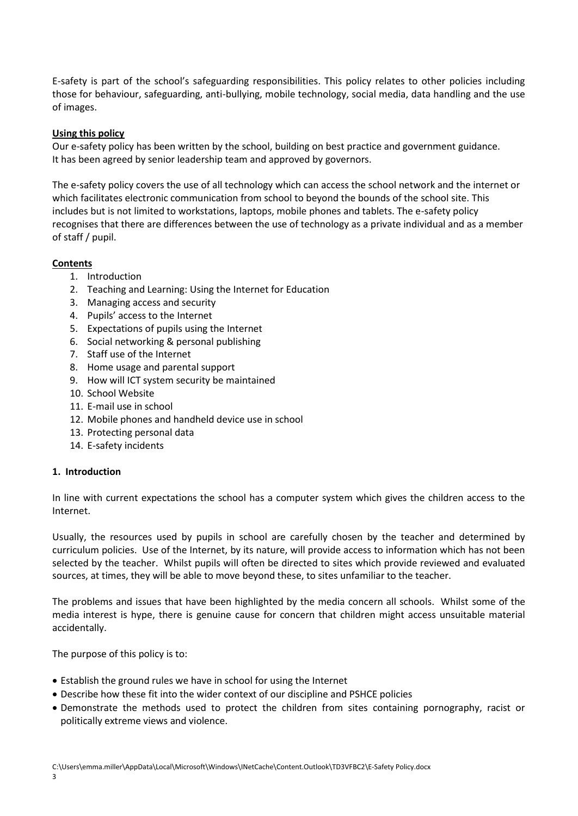E-safety is part of the school's safeguarding responsibilities. This policy relates to other policies including those for behaviour, safeguarding, anti-bullying, mobile technology, social media, data handling and the use of images.

## **Using this policy**

Our e-safety policy has been written by the school, building on best practice and government guidance. It has been agreed by senior leadership team and approved by governors.

The e-safety policy covers the use of all technology which can access the school network and the internet or which facilitates electronic communication from school to beyond the bounds of the school site. This includes but is not limited to workstations, laptops, mobile phones and tablets. The e-safety policy recognises that there are differences between the use of technology as a private individual and as a member of staff / pupil.

## **Contents**

- 1. Introduction
- 2. Teaching and Learning: Using the Internet for Education
- 3. Managing access and security
- 4. Pupils' access to the Internet
- 5. Expectations of pupils using the Internet
- 6. Social networking & personal publishing
- 7. Staff use of the Internet
- 8. Home usage and parental support
- 9. How will ICT system security be maintained
- 10. School Website
- 11. E-mail use in school
- 12. Mobile phones and handheld device use in school
- 13. Protecting personal data
- 14. E-safety incidents

#### **1. Introduction**

In line with current expectations the school has a computer system which gives the children access to the Internet.

Usually, the resources used by pupils in school are carefully chosen by the teacher and determined by curriculum policies. Use of the Internet, by its nature, will provide access to information which has not been selected by the teacher. Whilst pupils will often be directed to sites which provide reviewed and evaluated sources, at times, they will be able to move beyond these, to sites unfamiliar to the teacher.

The problems and issues that have been highlighted by the media concern all schools. Whilst some of the media interest is hype, there is genuine cause for concern that children might access unsuitable material accidentally.

The purpose of this policy is to:

- Establish the ground rules we have in school for using the Internet
- Describe how these fit into the wider context of our discipline and PSHCE policies
- Demonstrate the methods used to protect the children from sites containing pornography, racist or politically extreme views and violence.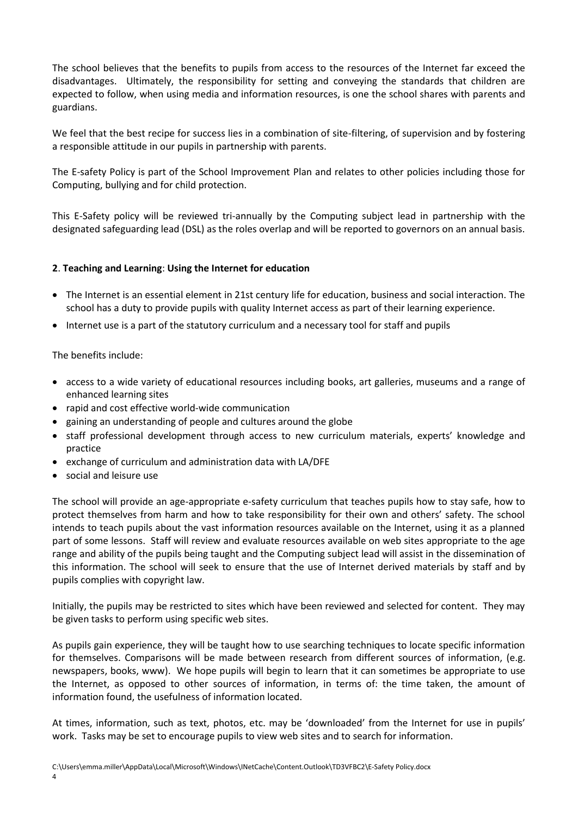The school believes that the benefits to pupils from access to the resources of the Internet far exceed the disadvantages. Ultimately, the responsibility for setting and conveying the standards that children are expected to follow, when using media and information resources, is one the school shares with parents and guardians.

We feel that the best recipe for success lies in a combination of site-filtering, of supervision and by fostering a responsible attitude in our pupils in partnership with parents.

The E-safety Policy is part of the School Improvement Plan and relates to other policies including those for Computing, bullying and for child protection.

This E-Safety policy will be reviewed tri-annually by the Computing subject lead in partnership with the designated safeguarding lead (DSL) as the roles overlap and will be reported to governors on an annual basis.

## **2**. **Teaching and Learning**: **Using the Internet for education**

- The Internet is an essential element in 21st century life for education, business and social interaction. The school has a duty to provide pupils with quality Internet access as part of their learning experience.
- Internet use is a part of the statutory curriculum and a necessary tool for staff and pupils

## The benefits include:

- access to a wide variety of educational resources including books, art galleries, museums and a range of enhanced learning sites
- rapid and cost effective world-wide communication
- gaining an understanding of people and cultures around the globe
- staff professional development through access to new curriculum materials, experts' knowledge and practice
- exchange of curriculum and administration data with LA/DFE
- social and leisure use

The school will provide an age-appropriate e-safety curriculum that teaches pupils how to stay safe, how to protect themselves from harm and how to take responsibility for their own and others' safety. The school intends to teach pupils about the vast information resources available on the Internet, using it as a planned part of some lessons. Staff will review and evaluate resources available on web sites appropriate to the age range and ability of the pupils being taught and the Computing subject lead will assist in the dissemination of this information. The school will seek to ensure that the use of Internet derived materials by staff and by pupils complies with copyright law.

Initially, the pupils may be restricted to sites which have been reviewed and selected for content. They may be given tasks to perform using specific web sites.

As pupils gain experience, they will be taught how to use searching techniques to locate specific information for themselves. Comparisons will be made between research from different sources of information, (e.g. newspapers, books, www). We hope pupils will begin to learn that it can sometimes be appropriate to use the Internet, as opposed to other sources of information, in terms of: the time taken, the amount of information found, the usefulness of information located.

At times, information, such as text, photos, etc. may be 'downloaded' from the Internet for use in pupils' work. Tasks may be set to encourage pupils to view web sites and to search for information.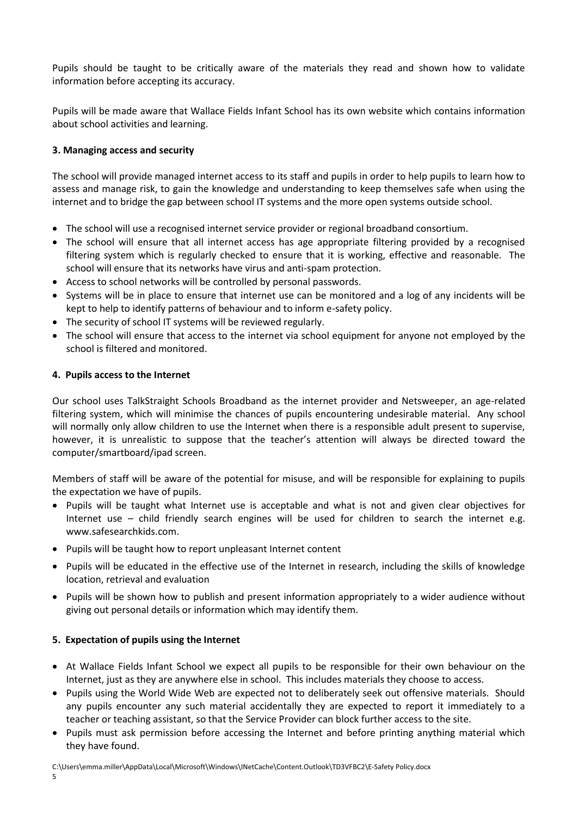Pupils should be taught to be critically aware of the materials they read and shown how to validate information before accepting its accuracy.

Pupils will be made aware that Wallace Fields Infant School has its own website which contains information about school activities and learning.

# **3. Managing access and security**

The school will provide managed internet access to its staff and pupils in order to help pupils to learn how to assess and manage risk, to gain the knowledge and understanding to keep themselves safe when using the internet and to bridge the gap between school IT systems and the more open systems outside school.

- The school will use a recognised internet service provider or regional broadband consortium.
- The school will ensure that all internet access has age appropriate filtering provided by a recognised filtering system which is regularly checked to ensure that it is working, effective and reasonable. The school will ensure that its networks have virus and anti-spam protection.
- Access to school networks will be controlled by personal passwords.
- Systems will be in place to ensure that internet use can be monitored and a log of any incidents will be kept to help to identify patterns of behaviour and to inform e-safety policy.
- The security of school IT systems will be reviewed regularly.
- The school will ensure that access to the internet via school equipment for anyone not employed by the school is filtered and monitored.

#### **4. Pupils access to the Internet**

Our school uses TalkStraight Schools Broadband as the internet provider and Netsweeper, an age-related filtering system, which will minimise the chances of pupils encountering undesirable material. Any school will normally only allow children to use the Internet when there is a responsible adult present to supervise, however, it is unrealistic to suppose that the teacher's attention will always be directed toward the computer/smartboard/ipad screen.

Members of staff will be aware of the potential for misuse, and will be responsible for explaining to pupils the expectation we have of pupils.

- Pupils will be taught what Internet use is acceptable and what is not and given clear objectives for Internet use – child friendly search engines will be used for children to search the internet e.g. www.safesearchkids.com.
- Pupils will be taught how to report unpleasant Internet content
- Pupils will be educated in the effective use of the Internet in research, including the skills of knowledge location, retrieval and evaluation
- Pupils will be shown how to publish and present information appropriately to a wider audience without giving out personal details or information which may identify them.

#### **5. Expectation of pupils using the Internet**

- At Wallace Fields Infant School we expect all pupils to be responsible for their own behaviour on the Internet, just as they are anywhere else in school. This includes materials they choose to access.
- Pupils using the World Wide Web are expected not to deliberately seek out offensive materials. Should any pupils encounter any such material accidentally they are expected to report it immediately to a teacher or teaching assistant, so that the Service Provider can block further access to the site.
- Pupils must ask permission before accessing the Internet and before printing anything material which they have found.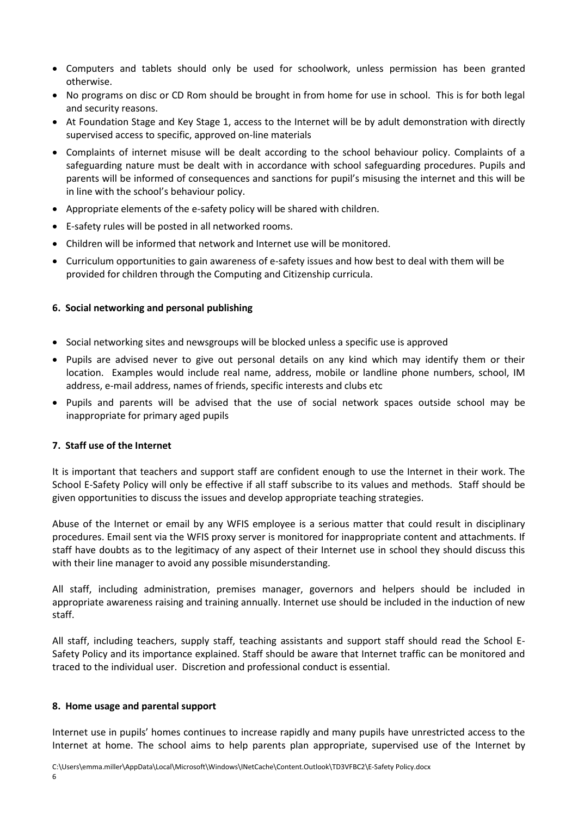- Computers and tablets should only be used for schoolwork, unless permission has been granted otherwise.
- No programs on disc or CD Rom should be brought in from home for use in school. This is for both legal and security reasons.
- At Foundation Stage and Key Stage 1, access to the Internet will be by adult demonstration with directly supervised access to specific, approved on-line materials
- Complaints of internet misuse will be dealt according to the school behaviour policy. Complaints of a safeguarding nature must be dealt with in accordance with school safeguarding procedures. Pupils and parents will be informed of consequences and sanctions for pupil's misusing the internet and this will be in line with the school's behaviour policy.
- Appropriate elements of the e-safety policy will be shared with children.
- E-safety rules will be posted in all networked rooms.
- Children will be informed that network and Internet use will be monitored.
- Curriculum opportunities to gain awareness of e-safety issues and how best to deal with them will be provided for children through the Computing and Citizenship curricula.

## **6. Social networking and personal publishing**

- Social networking sites and newsgroups will be blocked unless a specific use is approved
- Pupils are advised never to give out personal details on any kind which may identify them or their location. Examples would include real name, address, mobile or landline phone numbers, school, IM address, e-mail address, names of friends, specific interests and clubs etc
- Pupils and parents will be advised that the use of social network spaces outside school may be inappropriate for primary aged pupils

#### **7. Staff use of the Internet**

It is important that teachers and support staff are confident enough to use the Internet in their work. The School E-Safety Policy will only be effective if all staff subscribe to its values and methods. Staff should be given opportunities to discuss the issues and develop appropriate teaching strategies.

Abuse of the Internet or email by any WFIS employee is a serious matter that could result in disciplinary procedures. Email sent via the WFIS proxy server is monitored for inappropriate content and attachments. If staff have doubts as to the legitimacy of any aspect of their Internet use in school they should discuss this with their line manager to avoid any possible misunderstanding.

All staff, including administration, premises manager, governors and helpers should be included in appropriate awareness raising and training annually. Internet use should be included in the induction of new staff.

All staff, including teachers, supply staff, teaching assistants and support staff should read the School E-Safety Policy and its importance explained. Staff should be aware that Internet traffic can be monitored and traced to the individual user. Discretion and professional conduct is essential.

#### **8. Home usage and parental support**

Internet use in pupils' homes continues to increase rapidly and many pupils have unrestricted access to the Internet at home. The school aims to help parents plan appropriate, supervised use of the Internet by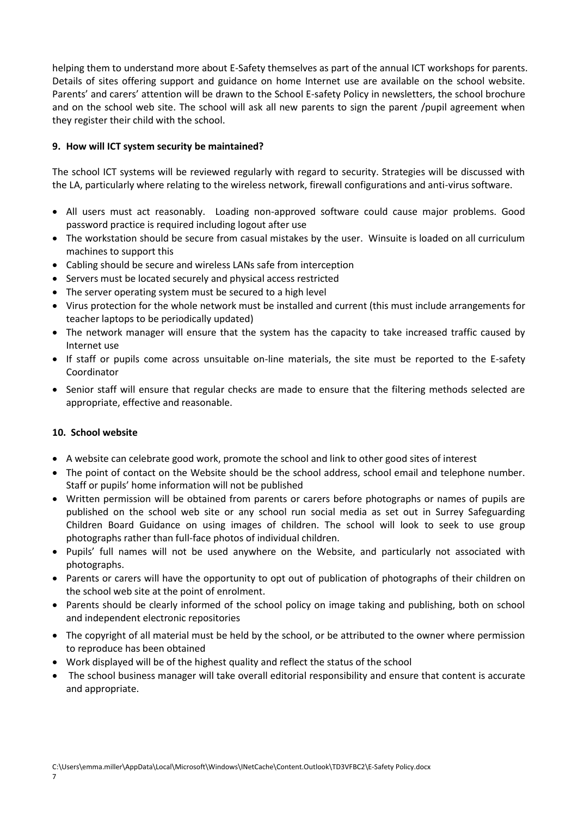helping them to understand more about E-Safety themselves as part of the annual ICT workshops for parents. Details of sites offering support and guidance on home Internet use are available on the school website. Parents' and carers' attention will be drawn to the School E-safety Policy in newsletters, the school brochure and on the school web site. The school will ask all new parents to sign the parent /pupil agreement when they register their child with the school.

# **9. How will ICT system security be maintained?**

The school ICT systems will be reviewed regularly with regard to security. Strategies will be discussed with the LA, particularly where relating to the wireless network, firewall configurations and anti-virus software.

- All users must act reasonably. Loading non-approved software could cause major problems. Good password practice is required including logout after use
- The workstation should be secure from casual mistakes by the user. Winsuite is loaded on all curriculum machines to support this
- Cabling should be secure and wireless LANs safe from interception
- Servers must be located securely and physical access restricted
- The server operating system must be secured to a high level
- Virus protection for the whole network must be installed and current (this must include arrangements for teacher laptops to be periodically updated)
- The network manager will ensure that the system has the capacity to take increased traffic caused by Internet use
- If staff or pupils come across unsuitable on-line materials, the site must be reported to the E-safety Coordinator
- Senior staff will ensure that regular checks are made to ensure that the filtering methods selected are appropriate, effective and reasonable.

# **10. School website**

- A website can celebrate good work, promote the school and link to other good sites of interest
- The point of contact on the Website should be the school address, school email and telephone number. Staff or pupils' home information will not be published
- Written permission will be obtained from parents or carers before photographs or names of pupils are published on the school web site or any school run social media as set out in Surrey Safeguarding Children Board Guidance on using images of children. The school will look to seek to use group photographs rather than full-face photos of individual children.
- Pupils' full names will not be used anywhere on the Website, and particularly not associated with photographs.
- Parents or carers will have the opportunity to opt out of publication of photographs of their children on the school web site at the point of enrolment.
- Parents should be clearly informed of the school policy on image taking and publishing, both on school and independent electronic repositories
- The copyright of all material must be held by the school, or be attributed to the owner where permission to reproduce has been obtained
- Work displayed will be of the highest quality and reflect the status of the school
- The school business manager will take overall editorial responsibility and ensure that content is accurate and appropriate.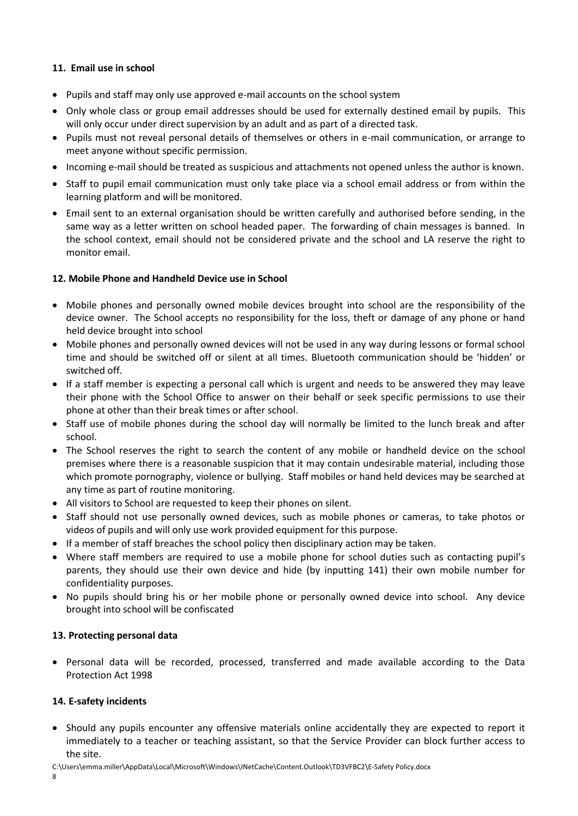# **11. Email use in school**

- Pupils and staff may only use approved e-mail accounts on the school system
- Only whole class or group email addresses should be used for externally destined email by pupils. This will only occur under direct supervision by an adult and as part of a directed task.
- Pupils must not reveal personal details of themselves or others in e-mail communication, or arrange to meet anyone without specific permission.
- Incoming e-mail should be treated as suspicious and attachments not opened unless the author is known.
- Staff to pupil email communication must only take place via a school email address or from within the learning platform and will be monitored.
- Email sent to an external organisation should be written carefully and authorised before sending, in the same way as a letter written on school headed paper. The forwarding of chain messages is banned. In the school context, email should not be considered private and the school and LA reserve the right to monitor email.

# **12. Mobile Phone and Handheld Device use in School**

- Mobile phones and personally owned mobile devices brought into school are the responsibility of the device owner. The School accepts no responsibility for the loss, theft or damage of any phone or hand held device brought into school
- Mobile phones and personally owned devices will not be used in any way during lessons or formal school time and should be switched off or silent at all times. Bluetooth communication should be 'hidden' or switched off.
- If a staff member is expecting a personal call which is urgent and needs to be answered they may leave their phone with the School Office to answer on their behalf or seek specific permissions to use their phone at other than their break times or after school.
- Staff use of mobile phones during the school day will normally be limited to the lunch break and after school.
- The School reserves the right to search the content of any mobile or handheld device on the school premises where there is a reasonable suspicion that it may contain undesirable material, including those which promote pornography, violence or bullying. Staff mobiles or hand held devices may be searched at any time as part of routine monitoring.
- All visitors to School are requested to keep their phones on silent.
- Staff should not use personally owned devices, such as mobile phones or cameras, to take photos or videos of pupils and will only use work provided equipment for this purpose.
- If a member of staff breaches the school policy then disciplinary action may be taken.
- Where staff members are required to use a mobile phone for school duties such as contacting pupil's parents, they should use their own device and hide (by inputting 141) their own mobile number for confidentiality purposes.
- No pupils should bring his or her mobile phone or personally owned device into school. Any device brought into school will be confiscated

# **13. Protecting personal data**

 Personal data will be recorded, processed, transferred and made available according to the Data Protection Act 1998

# **14. E-safety incidents**

- Should any pupils encounter any offensive materials online accidentally they are expected to report it immediately to a teacher or teaching assistant, so that the Service Provider can block further access to the site.
- C:\Users\emma.miller\AppData\Local\Microsoft\Windows\INetCache\Content.Outlook\TD3VFBC2\E-Safety Policy.docx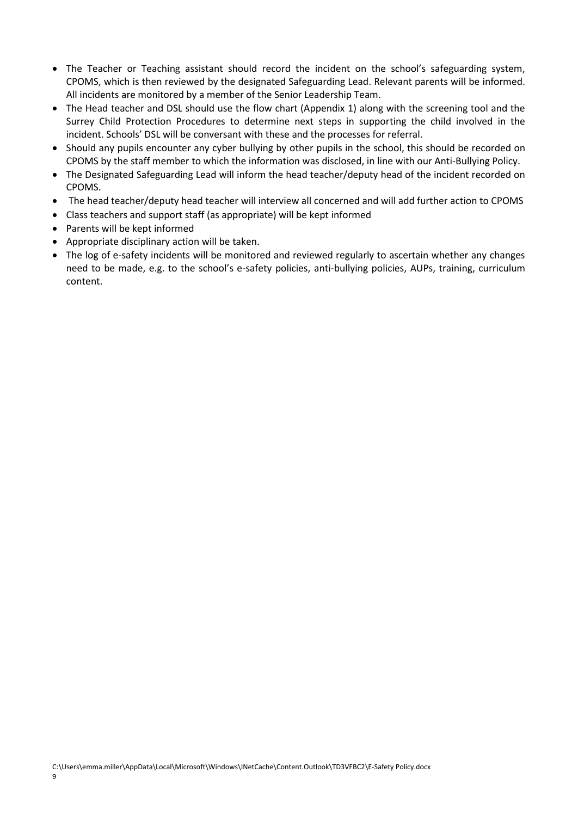- The Teacher or Teaching assistant should record the incident on the school's safeguarding system, CPOMS, which is then reviewed by the designated Safeguarding Lead. Relevant parents will be informed. All incidents are monitored by a member of the Senior Leadership Team.
- The Head teacher and DSL should use the flow chart (Appendix 1) along with the screening tool and the Surrey Child Protection Procedures to determine next steps in supporting the child involved in the incident. Schools' DSL will be conversant with these and the processes for referral.
- Should any pupils encounter any cyber bullying by other pupils in the school, this should be recorded on CPOMS by the staff member to which the information was disclosed, in line with our Anti-Bullying Policy.
- The Designated Safeguarding Lead will inform the head teacher/deputy head of the incident recorded on CPOMS.
- The head teacher/deputy head teacher will interview all concerned and will add further action to CPOMS
- Class teachers and support staff (as appropriate) will be kept informed
- Parents will be kept informed
- Appropriate disciplinary action will be taken.
- The log of e-safety incidents will be monitored and reviewed regularly to ascertain whether any changes need to be made, e.g. to the school's e-safety policies, anti-bullying policies, AUPs, training, curriculum content.